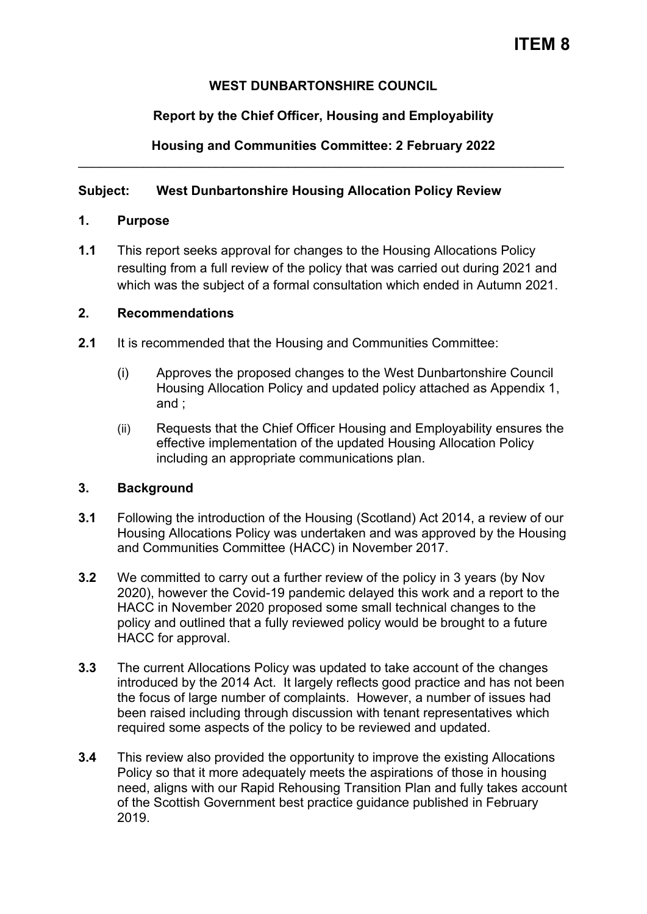## **WEST DUNBARTONSHIRE COUNCIL**

# **Report by the Chief Officer, Housing and Employability**

### **Housing and Communities Committee: 2 February 2022**  \_\_\_\_\_\_\_\_\_\_\_\_\_\_\_\_\_\_\_\_\_\_\_\_\_\_\_\_\_\_\_\_\_\_\_\_\_\_\_\_\_\_\_\_\_\_\_\_\_\_\_\_\_\_\_\_\_\_\_\_\_\_\_\_\_\_\_

## **Subject: West Dunbartonshire Housing Allocation Policy Review**

## **1. Purpose**

**1.1** This report seeks approval for changes to the Housing Allocations Policy resulting from a full review of the policy that was carried out during 2021 and which was the subject of a formal consultation which ended in Autumn 2021.

## **2. Recommendations**

- **2.1** It is recommended that the Housing and Communities Committee:
	- (i) Approves the proposed changes to the West Dunbartonshire Council Housing Allocation Policy and updated policy attached as Appendix 1, and ;
	- (ii) Requests that the Chief Officer Housing and Employability ensures the effective implementation of the updated Housing Allocation Policy including an appropriate communications plan.

## **3. Background**

- **3.1** Following the introduction of the Housing (Scotland) Act 2014, a review of our Housing Allocations Policy was undertaken and was approved by the Housing and Communities Committee (HACC) in November 2017.
- **3.2** We committed to carry out a further review of the policy in 3 years (by Nov 2020), however the Covid-19 pandemic delayed this work and a report to the HACC in November 2020 proposed some small technical changes to the policy and outlined that a fully reviewed policy would be brought to a future HACC for approval.
- **3.3** The current Allocations Policy was updated to take account of the changes introduced by the 2014 Act. It largely reflects good practice and has not been the focus of large number of complaints. However, a number of issues had been raised including through discussion with tenant representatives which required some aspects of the policy to be reviewed and updated.
- **3.4** This review also provided the opportunity to improve the existing Allocations Policy so that it more adequately meets the aspirations of those in housing need, aligns with our Rapid Rehousing Transition Plan and fully takes account of the Scottish Government best practice guidance published in February 2019.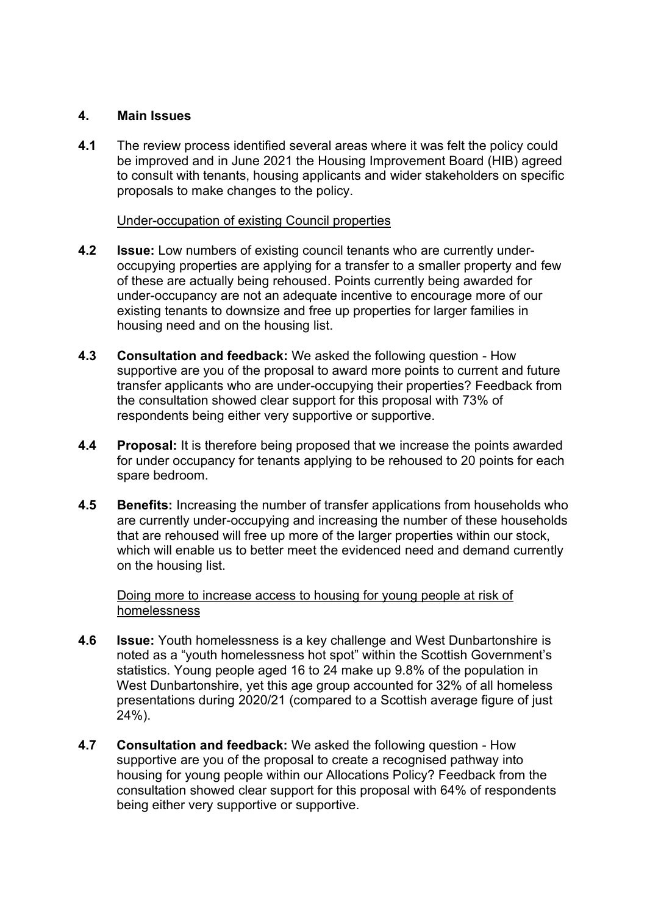## **4. Main Issues**

**4.1** The review process identified several areas where it was felt the policy could be improved and in June 2021 the Housing Improvement Board (HIB) agreed to consult with tenants, housing applicants and wider stakeholders on specific proposals to make changes to the policy.

### Under-occupation of existing Council properties

- **4.2 Issue:** Low numbers of existing council tenants who are currently underoccupying properties are applying for a transfer to a smaller property and few of these are actually being rehoused. Points currently being awarded for under-occupancy are not an adequate incentive to encourage more of our existing tenants to downsize and free up properties for larger families in housing need and on the housing list.
- **4.3 Consultation and feedback:** We asked the following question How supportive are you of the proposal to award more points to current and future transfer applicants who are under-occupying their properties? Feedback from the consultation showed clear support for this proposal with 73% of respondents being either very supportive or supportive.
- **4.4 Proposal:** It is therefore being proposed that we increase the points awarded for under occupancy for tenants applying to be rehoused to 20 points for each spare bedroom.
- **4.5 Benefits:** Increasing the number of transfer applications from households who are currently under-occupying and increasing the number of these households that are rehoused will free up more of the larger properties within our stock, which will enable us to better meet the evidenced need and demand currently on the housing list.

Doing more to increase access to housing for young people at risk of homelessness

- **4.6 Issue:** Youth homelessness is a key challenge and West Dunbartonshire is noted as a "youth homelessness hot spot" within the Scottish Government's statistics. Young people aged 16 to 24 make up 9.8% of the population in West Dunbartonshire, yet this age group accounted for 32% of all homeless presentations during 2020/21 (compared to a Scottish average figure of just 24%).
- **4.7 Consultation and feedback:** We asked the following question How supportive are you of the proposal to create a recognised pathway into housing for young people within our Allocations Policy? Feedback from the consultation showed clear support for this proposal with 64% of respondents being either very supportive or supportive.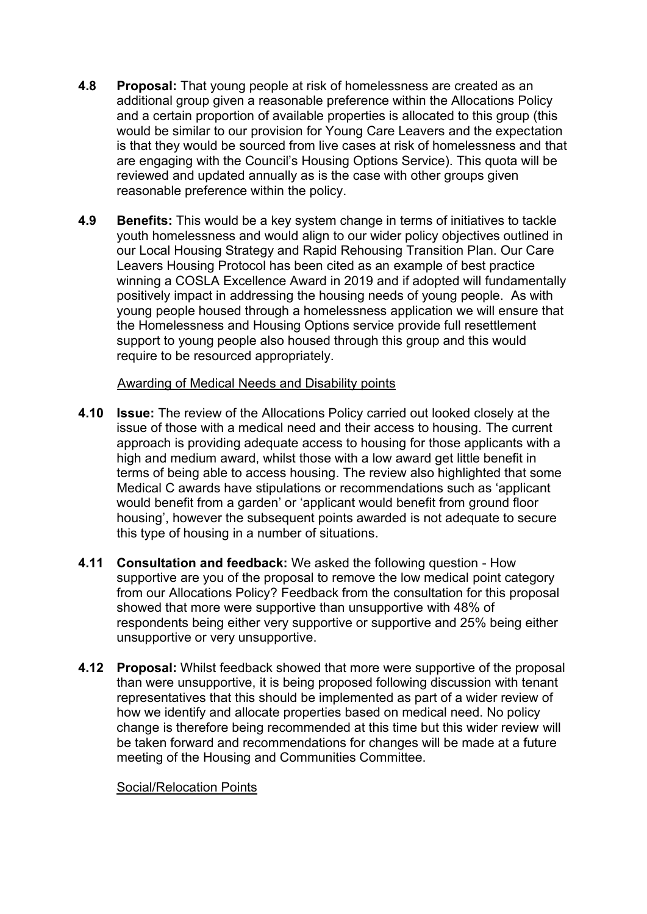- **4.8 Proposal:** That young people at risk of homelessness are created as an additional group given a reasonable preference within the Allocations Policy and a certain proportion of available properties is allocated to this group (this would be similar to our provision for Young Care Leavers and the expectation is that they would be sourced from live cases at risk of homelessness and that are engaging with the Council's Housing Options Service). This quota will be reviewed and updated annually as is the case with other groups given reasonable preference within the policy.
- **4.9 Benefits:** This would be a key system change in terms of initiatives to tackle youth homelessness and would align to our wider policy objectives outlined in our Local Housing Strategy and Rapid Rehousing Transition Plan. Our Care Leavers Housing Protocol has been cited as an example of best practice winning a COSLA Excellence Award in 2019 and if adopted will fundamentally positively impact in addressing the housing needs of young people. As with young people housed through a homelessness application we will ensure that the Homelessness and Housing Options service provide full resettlement support to young people also housed through this group and this would require to be resourced appropriately.

### Awarding of Medical Needs and Disability points

- **4.10 Issue:** The review of the Allocations Policy carried out looked closely at the issue of those with a medical need and their access to housing. The current approach is providing adequate access to housing for those applicants with a high and medium award, whilst those with a low award get little benefit in terms of being able to access housing. The review also highlighted that some Medical C awards have stipulations or recommendations such as 'applicant would benefit from a garden' or 'applicant would benefit from ground floor housing', however the subsequent points awarded is not adequate to secure this type of housing in a number of situations.
- **4.11 Consultation and feedback:** We asked the following question How supportive are you of the proposal to remove the low medical point category from our Allocations Policy? Feedback from the consultation for this proposal showed that more were supportive than unsupportive with 48% of respondents being either very supportive or supportive and 25% being either unsupportive or very unsupportive.
- **4.12 Proposal:** Whilst feedback showed that more were supportive of the proposal than were unsupportive, it is being proposed following discussion with tenant representatives that this should be implemented as part of a wider review of how we identify and allocate properties based on medical need. No policy change is therefore being recommended at this time but this wider review will be taken forward and recommendations for changes will be made at a future meeting of the Housing and Communities Committee.

#### Social/Relocation Points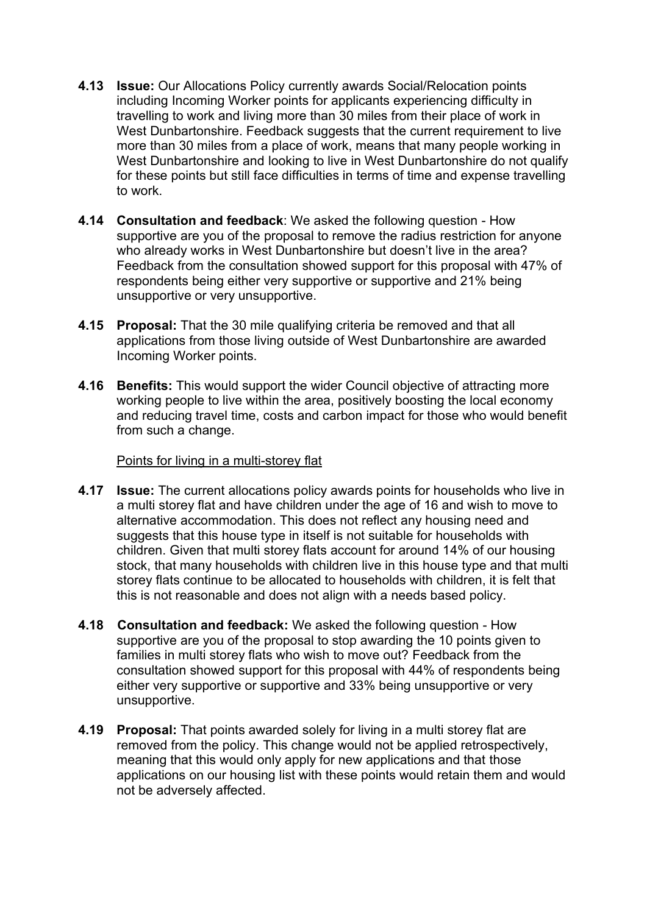- **4.13 Issue:** Our Allocations Policy currently awards Social/Relocation points including Incoming Worker points for applicants experiencing difficulty in travelling to work and living more than 30 miles from their place of work in West Dunbartonshire. Feedback suggests that the current requirement to live more than 30 miles from a place of work, means that many people working in West Dunbartonshire and looking to live in West Dunbartonshire do not qualify for these points but still face difficulties in terms of time and expense travelling to work.
- **4.14 Consultation and feedback**: We asked the following question How supportive are you of the proposal to remove the radius restriction for anyone who already works in West Dunbartonshire but doesn't live in the area? Feedback from the consultation showed support for this proposal with 47% of respondents being either very supportive or supportive and 21% being unsupportive or very unsupportive.
- **4.15 Proposal:** That the 30 mile qualifying criteria be removed and that all applications from those living outside of West Dunbartonshire are awarded Incoming Worker points.
- **4.16 Benefits:** This would support the wider Council objective of attracting more working people to live within the area, positively boosting the local economy and reducing travel time, costs and carbon impact for those who would benefit from such a change.

### Points for living in a multi-storey flat

- **4.17 Issue:** The current allocations policy awards points for households who live in a multi storey flat and have children under the age of 16 and wish to move to alternative accommodation. This does not reflect any housing need and suggests that this house type in itself is not suitable for households with children. Given that multi storey flats account for around 14% of our housing stock, that many households with children live in this house type and that multi storey flats continue to be allocated to households with children, it is felt that this is not reasonable and does not align with a needs based policy.
- **4.18 Consultation and feedback:** We asked the following question How supportive are you of the proposal to stop awarding the 10 points given to families in multi storey flats who wish to move out? Feedback from the consultation showed support for this proposal with 44% of respondents being either very supportive or supportive and 33% being unsupportive or very unsupportive.
- **4.19 Proposal:** That points awarded solely for living in a multi storey flat are removed from the policy. This change would not be applied retrospectively, meaning that this would only apply for new applications and that those applications on our housing list with these points would retain them and would not be adversely affected.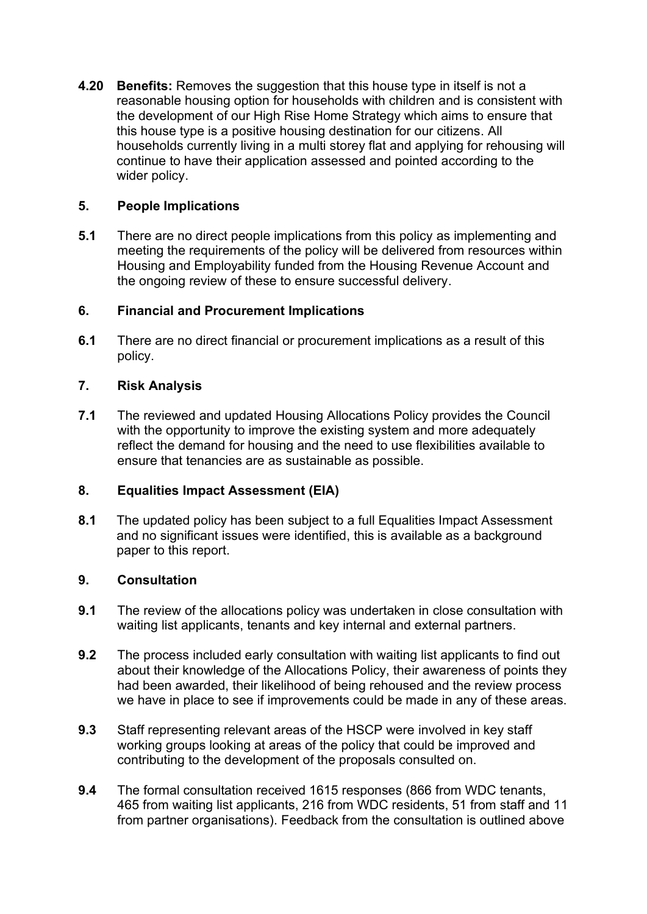**4.20 Benefits:** Removes the suggestion that this house type in itself is not a reasonable housing option for households with children and is consistent with the development of our High Rise Home Strategy which aims to ensure that this house type is a positive housing destination for our citizens. All households currently living in a multi storey flat and applying for rehousing will continue to have their application assessed and pointed according to the wider policy.

## **5. People Implications**

**5.1** There are no direct people implications from this policy as implementing and meeting the requirements of the policy will be delivered from resources within Housing and Employability funded from the Housing Revenue Account and the ongoing review of these to ensure successful delivery.

## **6. Financial and Procurement Implications**

**6.1** There are no direct financial or procurement implications as a result of this policy.

## **7. Risk Analysis**

**7.1** The reviewed and updated Housing Allocations Policy provides the Council with the opportunity to improve the existing system and more adequately reflect the demand for housing and the need to use flexibilities available to ensure that tenancies are as sustainable as possible.

## **8. Equalities Impact Assessment (EIA)**

**8.1** The updated policy has been subject to a full Equalities Impact Assessment and no significant issues were identified, this is available as a background paper to this report.

### **9. Consultation**

- **9.1** The review of the allocations policy was undertaken in close consultation with waiting list applicants, tenants and key internal and external partners.
- **9.2** The process included early consultation with waiting list applicants to find out about their knowledge of the Allocations Policy, their awareness of points they had been awarded, their likelihood of being rehoused and the review process we have in place to see if improvements could be made in any of these areas.
- **9.3** Staff representing relevant areas of the HSCP were involved in key staff working groups looking at areas of the policy that could be improved and contributing to the development of the proposals consulted on.
- **9.4** The formal consultation received 1615 responses (866 from WDC tenants, 465 from waiting list applicants, 216 from WDC residents, 51 from staff and 11 from partner organisations). Feedback from the consultation is outlined above